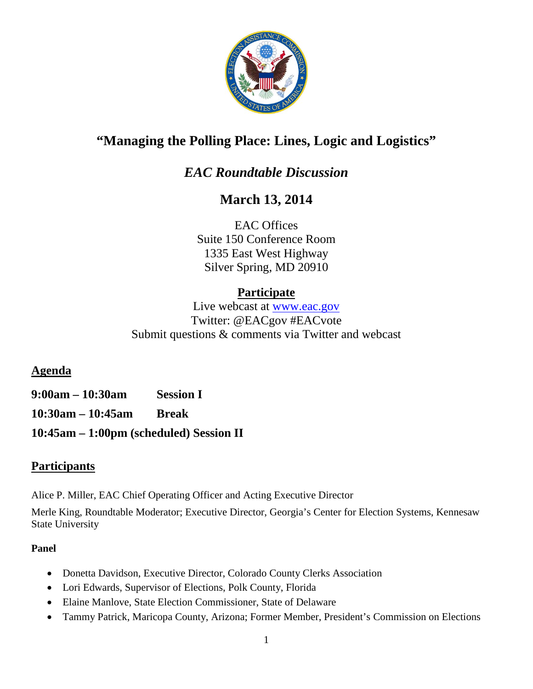

# **"Managing the Polling Place: Lines, Logic and Logistics"**

## *EAC Roundtable Discussion*

## **March 13, 2014**

EAC Offices Suite 150 Conference Room 1335 East West Highway Silver Spring, MD 20910

## **Participate**

Live webcast at [www.eac.gov](http://www.eac.gov/) Twitter: @EACgov #EACvote Submit questions & comments via Twitter and webcast

**Agenda** 

**9:00am – 10:30am Session I 10:30am – 10:45am Break 10:45am – 1:00pm (scheduled) Session II**

### **Participants**

Alice P. Miller, EAC Chief Operating Officer and Acting Executive Director

Merle King, Roundtable Moderator; Executive Director, Georgia's Center for Election Systems, Kennesaw State University

### **Panel**

- Donetta Davidson, Executive Director, Colorado County Clerks Association
- Lori Edwards, Supervisor of Elections, Polk County, Florida
- Elaine Manlove, State Election Commissioner, State of Delaware
- Tammy Patrick, Maricopa County, Arizona; Former Member, President's Commission on Elections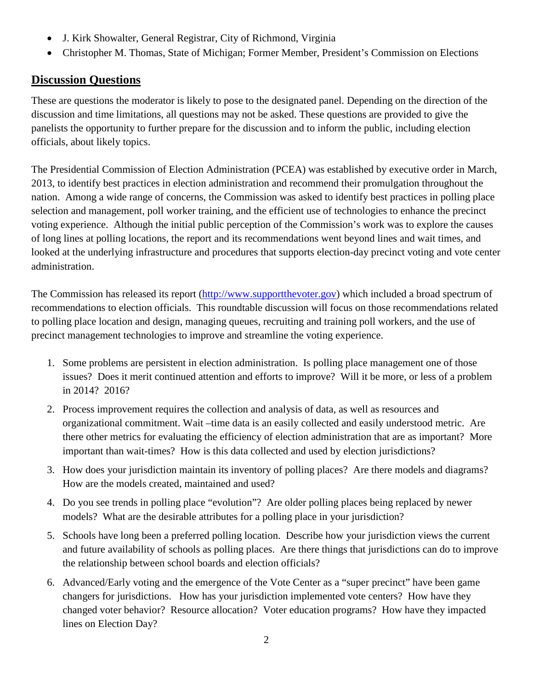- J. Kirk Showalter, General Registrar, City of Richmond, Virginia
- Christopher M. Thomas, State of Michigan; Former Member, President's Commission on Elections

### **Discussion Questions**

These are questions the moderator is likely to pose to the designated panel. Depending on the direction of the discussion and time limitations, all questions may not be asked. These questions are provided to give the panelists the opportunity to further prepare for the discussion and to inform the public, including election officials, about likely topics.

The Presidential Commission of Election Administration (PCEA) was established by executive order in March, 2013, to identify best practices in election administration and recommend their promulgation throughout the nation. Among a wide range of concerns, the Commission was asked to identify best practices in polling place selection and management, poll worker training, and the efficient use of technologies to enhance the precinct voting experience. Although the initial public perception of the Commission's work was to explore the causes of long lines at polling locations, the report and its recommendations went beyond lines and wait times, and looked at the underlying infrastructure and procedures that supports election-day precinct voting and vote center administration.

The Commission has released its report [\(http://www.supportthevoter.gov\)](http://www.supportthevoter.gov/) which included a broad spectrum of recommendations to election officials. This roundtable discussion will focus on those recommendations related to polling place location and design, managing queues, recruiting and training poll workers, and the use of precinct management technologies to improve and streamline the voting experience.

- 1. Some problems are persistent in election administration. Is polling place management one of those issues? Does it merit continued attention and efforts to improve? Will it be more, or less of a problem in 2014? 2016?
- 2. Process improvement requires the collection and analysis of data, as well as resources and organizational commitment. Wait –time data is an easily collected and easily understood metric. Are there other metrics for evaluating the efficiency of election administration that are as important? More important than wait-times? How is this data collected and used by election jurisdictions?
- 3. How does your jurisdiction maintain its inventory of polling places? Are there models and diagrams? How are the models created, maintained and used?
- 4. Do you see trends in polling place "evolution"? Are older polling places being replaced by newer models? What are the desirable attributes for a polling place in your jurisdiction?
- 5. Schools have long been a preferred polling location. Describe how your jurisdiction views the current and future availability of schools as polling places. Are there things that jurisdictions can do to improve the relationship between school boards and election officials?
- 6. Advanced/Early voting and the emergence of the Vote Center as a "super precinct" have been game changers for jurisdictions. How has your jurisdiction implemented vote centers? How have they changed voter behavior? Resource allocation? Voter education programs? How have they impacted lines on Election Day?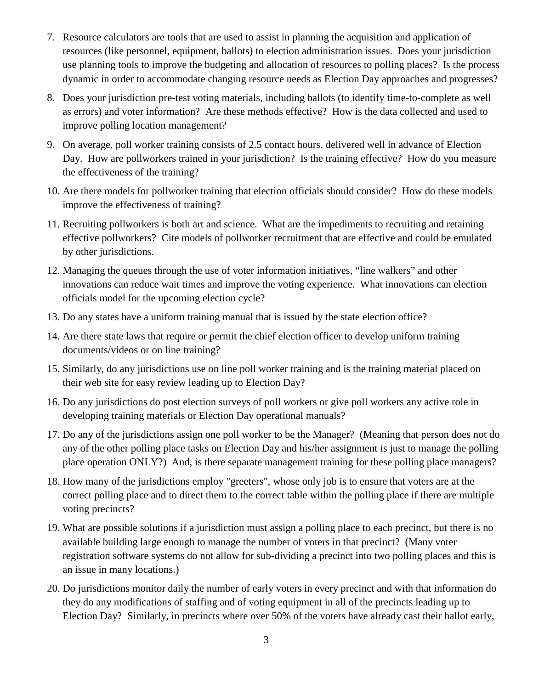- 7. Resource calculators are tools that are used to assist in planning the acquisition and application of resources (like personnel, equipment, ballots) to election administration issues. Does your jurisdiction use planning tools to improve the budgeting and allocation of resources to polling places? Is the process dynamic in order to accommodate changing resource needs as Election Day approaches and progresses?
- 8. Does your jurisdiction pre-test voting materials, including ballots (to identify time-to-complete as well as errors) and voter information? Are these methods effective? How is the data collected and used to improve polling location management?
- 9. On average, poll worker training consists of 2.5 contact hours, delivered well in advance of Election Day. How are pollworkers trained in your jurisdiction? Is the training effective? How do you measure the effectiveness of the training?
- 10. Are there models for pollworker training that election officials should consider? How do these models improve the effectiveness of training?
- 11. Recruiting pollworkers is both art and science. What are the impediments to recruiting and retaining effective pollworkers? Cite models of pollworker recruitment that are effective and could be emulated by other jurisdictions.
- 12. Managing the queues through the use of voter information initiatives, "line walkers" and other innovations can reduce wait times and improve the voting experience. What innovations can election officials model for the upcoming election cycle?
- 13. Do any states have a uniform training manual that is issued by the state election office?
- 14. Are there state laws that require or permit the chief election officer to develop uniform training documents/videos or on line training?
- 15. Similarly, do any jurisdictions use on line poll worker training and is the training material placed on their web site for easy review leading up to Election Day?
- 16. Do any jurisdictions do post election surveys of poll workers or give poll workers any active role in developing training materials or Election Day operational manuals?
- 17. Do any of the jurisdictions assign one poll worker to be the Manager? (Meaning that person does not do any of the other polling place tasks on Election Day and his/her assignment is just to manage the polling place operation ONLY?) And, is there separate management training for these polling place managers?
- 18. How many of the jurisdictions employ "greeters", whose only job is to ensure that voters are at the correct polling place and to direct them to the correct table within the polling place if there are multiple voting precincts?
- 19. What are possible solutions if a jurisdiction must assign a polling place to each precinct, but there is no available building large enough to manage the number of voters in that precinct? (Many voter registration software systems do not allow for sub-dividing a precinct into two polling places and this is an issue in many locations.)
- 20. Do jurisdictions monitor daily the number of early voters in every precinct and with that information do they do any modifications of staffing and of voting equipment in all of the precincts leading up to Election Day? Similarly, in precincts where over 50% of the voters have already cast their ballot early,